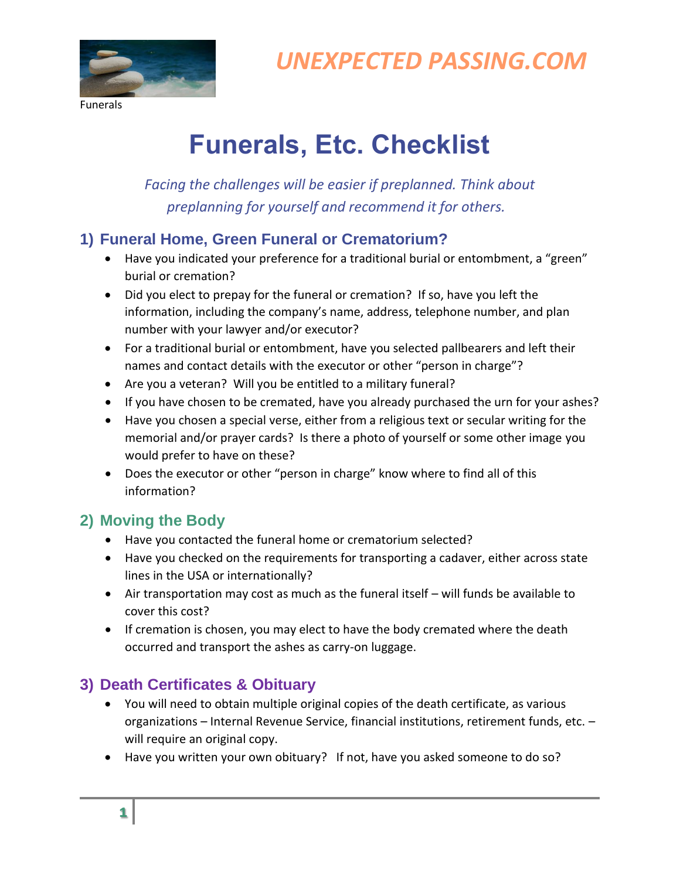

Funerals

## *UNEXPECTED PASSING.COM*

# **Funerals, Etc. Checklist**

*Facing the challenges will be easier if preplanned. Think about preplanning for yourself and recommend it for others.* 

#### **1) Funeral Home, Green Funeral or Crematorium?**

- Have you indicated your preference for a traditional burial or entombment, a "green" burial or cremation?
- Did you elect to prepay for the funeral or cremation? If so, have you left the information, including the company's name, address, telephone number, and plan number with your lawyer and/or executor?
- For a traditional burial or entombment, have you selected pallbearers and left their names and contact details with the executor or other "person in charge"?
- Are you a veteran? Will you be entitled to a military funeral?
- If you have chosen to be cremated, have you already purchased the urn for your ashes?
- Have you chosen a special verse, either from a religious text or secular writing for the memorial and/or prayer cards? Is there a photo of yourself or some other image you would prefer to have on these?
- Does the executor or other "person in charge" know where to find all of this information?

#### **2) Moving the Body**

- Have you contacted the funeral home or crematorium selected?
- Have you checked on the requirements for transporting a cadaver, either across state lines in the USA or internationally?
- Air transportation may cost as much as the funeral itself will funds be available to cover this cost?
- If cremation is chosen, you may elect to have the body cremated where the death occurred and transport the ashes as carry-on luggage.

#### **3) Death Certificates & Obituary**

- You will need to obtain multiple original copies of the death certificate, as various organizations – Internal Revenue Service, financial institutions, retirement funds, etc. – will require an original copy.
- Have you written your own obituary? If not, have you asked someone to do so?